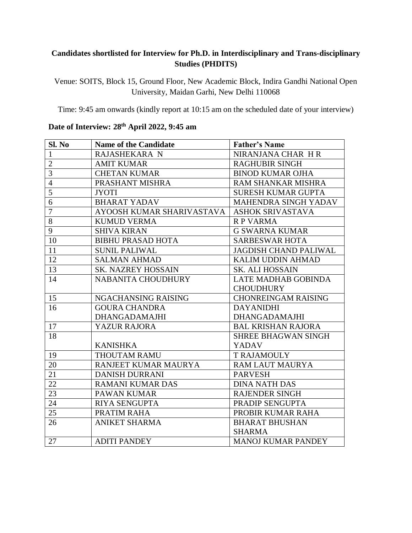## **Candidates shortlisted for Interview for Ph.D. in Interdisciplinary and Trans-disciplinary Studies (PHDITS)**

Venue: SOITS, Block 15, Ground Floor, New Academic Block, Indira Gandhi National Open University, Maidan Garhi, New Delhi 110068

Time: 9:45 am onwards (kindly report at 10:15 am on the scheduled date of your interview)

| Sl. No         | <b>Name of the Candidate</b> | <b>Father's Name</b>         |
|----------------|------------------------------|------------------------------|
| 1              | RAJASHEKARA N                | NIRANJANA CHAR HR            |
| $\overline{2}$ | <b>AMIT KUMAR</b>            | <b>RAGHUBIR SINGH</b>        |
| $\overline{3}$ | <b>CHETAN KUMAR</b>          | <b>BINOD KUMAR OJHA</b>      |
| $\overline{4}$ | PRASHANT MISHRA              | RAM SHANKAR MISHRA           |
| $\overline{5}$ | <b>JYOTI</b>                 | <b>SURESH KUMAR GUPTA</b>    |
| 6              | <b>BHARAT YADAV</b>          | MAHENDRA SINGH YADAV         |
| $\overline{7}$ | AYOOSH KUMAR SHARIVASTAVA    | <b>ASHOK SRIVASTAVA</b>      |
| 8              | <b>KUMUD VERMA</b>           | <b>RP VARMA</b>              |
| 9              | <b>SHIVA KIRAN</b>           | <b>G SWARNA KUMAR</b>        |
| 10             | <b>BIBHU PRASAD HOTA</b>     | <b>SARBESWAR HOTA</b>        |
| 11             | <b>SUNIL PALIWAL</b>         | <b>JAGDISH CHAND PALIWAL</b> |
| 12             | <b>SALMAN AHMAD</b>          | KALIM UDDIN AHMAD            |
| 13             | <b>SK. NAZREY HOSSAIN</b>    | <b>SK. ALI HOSSAIN</b>       |
| 14             | <b>NABANITA CHOUDHURY</b>    | <b>LATE MADHAB GOBINDA</b>   |
|                |                              | <b>CHOUDHURY</b>             |
| 15             | NGACHANSING RAISING          | <b>CHONREINGAM RAISING</b>   |
| 16             | <b>GOURA CHANDRA</b>         | <b>DAYANIDHI</b>             |
|                | <b>DHANGADAMAJHI</b>         | <b>DHANGADAMAJHI</b>         |
| 17             | <b>YAZUR RAJORA</b>          | <b>BAL KRISHAN RAJORA</b>    |
| 18             |                              | <b>SHREE BHAGWAN SINGH</b>   |
|                | <b>KANISHKA</b>              | YADAV                        |
| 19             | THOUTAM RAMU                 | <b>T RAJAMOULY</b>           |
| 20             | RANJEET KUMAR MAURYA         | <b>RAM LAUT MAURYA</b>       |
| 21             | <b>DANISH DURRANI</b>        | <b>PARVESH</b>               |
| 22             | <b>RAMANI KUMAR DAS</b>      | <b>DINA NATH DAS</b>         |
| 23             | <b>PAWAN KUMAR</b>           | <b>RAJENDER SINGH</b>        |
| 24             | <b>RIYA SENGUPTA</b>         | PRADIP SENGUPTA              |
| 25             | PRATIM RAHA                  | PROBIR KUMAR RAHA            |
| 26             | <b>ANIKET SHARMA</b>         | <b>BHARAT BHUSHAN</b>        |
|                |                              | <b>SHARMA</b>                |
| 27             | <b>ADITI PANDEY</b>          | <b>MANOJ KUMAR PANDEY</b>    |

## **Date of Interview: 28 th April 2022, 9:45 am**